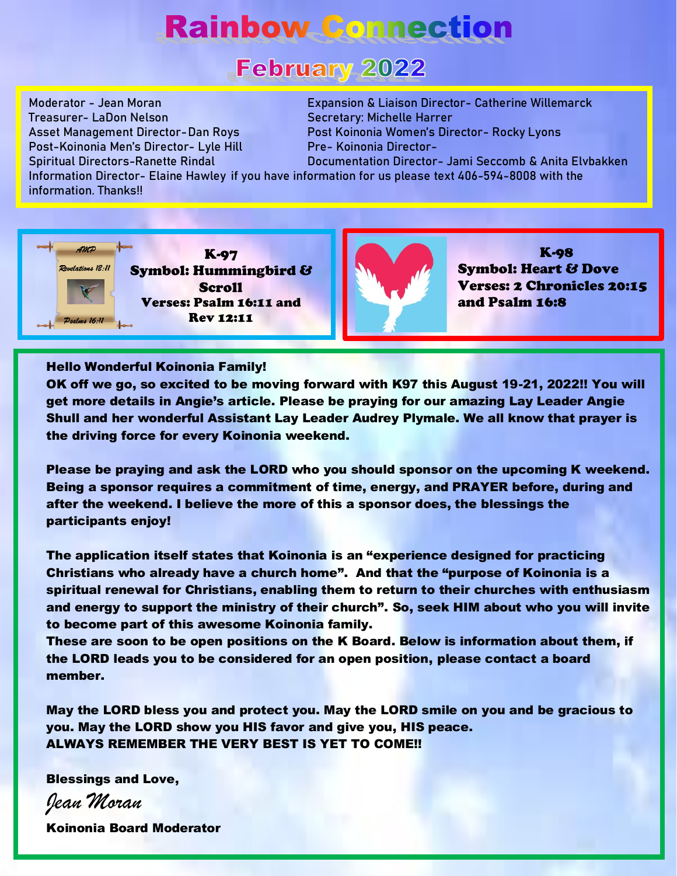# **Rainbow Connection**

# **February 2022**

Treasurer- LaDon Nelson Secretary: Michelle Harrer Post-Koinonia Men's Director- Lyle Hill Pre- Koinonia Director-

Moderator - Jean Moran Expansion & Liaison Director- Catherine Willemarck Asset Management Director-Dan Roys Post Koinonia Women's Director- Rocky Lyons

Spiritual Directors-Ranette Rindal Documentation Director- Jami Seccomb & Anita Elvbakken Information Director- Elaine Hawley if you have information for us please text 406-594-8008 with the information. Thanks!!





K-98 Symbol: Heart & Dove Verses: 2 Chronicles 20:15 and Psalm 16:8

#### Hello Wonderful Koinonia Family!

OK off we go, so excited to be moving forward with K97 this August 19-21, 2022!! You will get more details in Angie's article. Please be praying for our amazing Lay Leader Angie Shull and her wonderful Assistant Lay Leader Audrey Plymale. We all know that prayer is the driving force for every Koinonia weekend.

Please be praying and ask the LORD who you should sponsor on the upcoming K weekend. Being a sponsor requires a commitment of time, energy, and PRAYER before, during and after the weekend. I believe the more of this a sponsor does, the blessings the participants enjoy!

The application itself states that Koinonia is an "experience designed for practicing Christians who already have a church home". And that the "purpose of Koinonia is a spiritual renewal for Christians, enabling them to return to their churches with enthusiasm and energy to support the ministry of their church". So, seek HIM about who you will invite to become part of this awesome Koinonia family.

These are soon to be open positions on the K Board. Below is information about them, if the LORD leads you to be considered for an open position, please contact a board member.

May the LORD bless you and protect you. May the LORD smile on you and be gracious to you. May the LORD show you HIS favor and give you, HIS peace. ALWAYS REMEMBER THE VERY BEST IS YET TO COME!!

Blessings and Love,

*Jean Moran*

Koinonia Board Moderator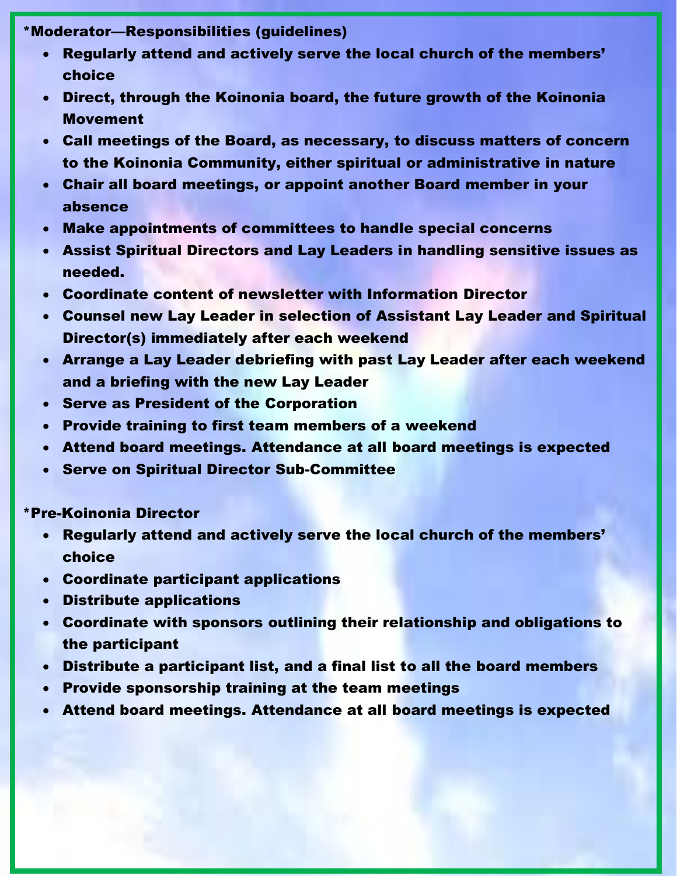### \*Moderator—Responsibilities (guidelines)

- Regularly attend and actively serve the local church of the members' choice
- Direct, through the Koinonia board, the future growth of the Koinonia Movement
- Call meetings of the Board, as necessary, to discuss matters of concern to the Koinonia Community, either spiritual or administrative in nature
- Chair all board meetings, or appoint another Board member in your absence
- Make appointments of committees to handle special concerns
- Assist Spiritual Directors and Lay Leaders in handling sensitive issues as needed.
- Coordinate content of newsletter with Information Director
- Counsel new Lay Leader in selection of Assistant Lay Leader and Spiritual Director(s) immediately after each weekend
- Arrange a Lay Leader debriefing with past Lay Leader after each weekend and a briefing with the new Lay Leader
- Serve as President of the Corporation
- Provide training to first team members of a weekend
- Attend board meetings. Attendance at all board meetings is expected
- Serve on Spiritual Director Sub-Committee

## \*Pre-Koinonia Director

- Regularly attend and actively serve the local church of the members' choice
- Coordinate participant applications
- Distribute applications
- Coordinate with sponsors outlining their relationship and obligations to the participant
- Distribute a participant list, and a final list to all the board members
- Provide sponsorship training at the team meetings
- Attend board meetings. Attendance at all board meetings is expected